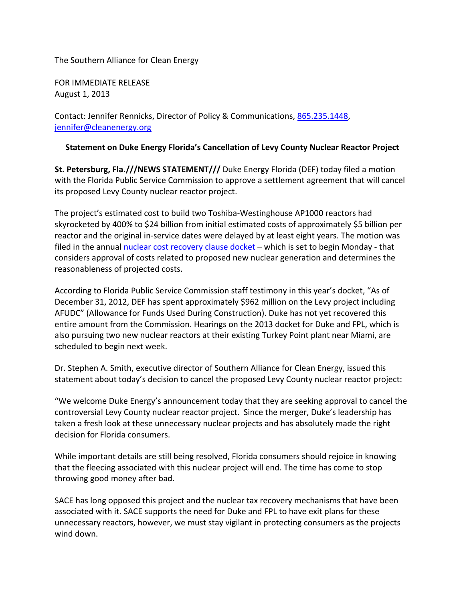The Southern Alliance for Clean Energy

FOR IMMEDIATE RELEASE August 1, 2013

Contact: Jennifer Rennicks, Director of Policy & Communications, [865.235.1448,](tel:865.235.1448) [jennifer@cleanenergy.org](mailto:jennifer@cleanenergy.org)

## **Statement on Duke Energy Florida's Cancellation of Levy County Nuclear Reactor Project**

**St. Petersburg, Fla.///NEWS STATEMENT///** Duke Energy Florida (DEF) today filed a motion with the Florida Public Service Commission to approve a settlement agreement that will cancel its proposed Levy County nuclear reactor project.

The project's estimated cost to build two Toshiba-Westinghouse AP1000 reactors had skyrocketed by 400% to \$24 billion from initial estimated costs of approximately \$5 billion per reactor and the original in-service dates were delayed by at least eight years. The motion was filed in the annual [nuclear cost recovery clause docket](http://www.psc.state.fl.us/dockets/cms/docketdetails2.aspx?docket=130009) - which is set to begin Monday - that considers approval of costs related to proposed new nuclear generation and determines the reasonableness of projected costs.

According to Florida Public Service Commission staff testimony in this year's docket, "As of December 31, 2012, DEF has spent approximately \$962 million on the Levy project including AFUDC" (Allowance for Funds Used During Construction). Duke has not yet recovered this entire amount from the Commission. Hearings on the 2013 docket for Duke and FPL, which is also pursuing two new nuclear reactors at their existing Turkey Point plant near Miami, are scheduled to begin next week.

Dr. Stephen A. Smith, executive director of Southern Alliance for Clean Energy, issued this statement about today's decision to cancel the proposed Levy County nuclear reactor project:

"We welcome Duke Energy's announcement today that they are seeking approval to cancel the controversial Levy County nuclear reactor project. Since the merger, Duke's leadership has taken a fresh look at these unnecessary nuclear projects and has absolutely made the right decision for Florida consumers.

While important details are still being resolved, Florida consumers should rejoice in knowing that the fleecing associated with this nuclear project will end. The time has come to stop throwing good money after bad.

SACE has long opposed this project and the nuclear tax recovery mechanisms that have been associated with it. SACE supports the need for Duke and FPL to have exit plans for these unnecessary reactors, however, we must stay vigilant in protecting consumers as the projects wind down.